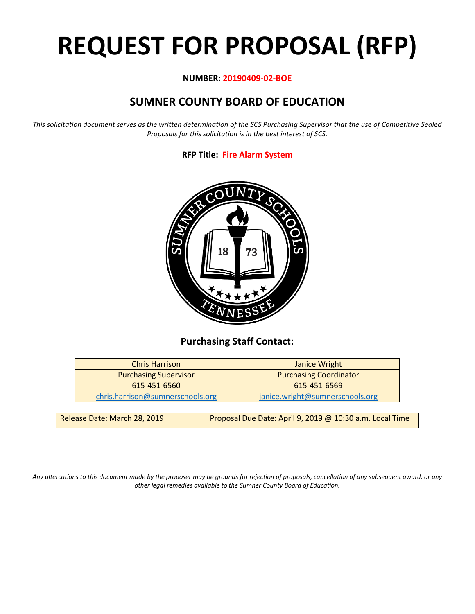# **REQUEST FOR PROPOSAL (RFP)**

# **NUMBER: 20190409-02-BOE**

# **SUMNER COUNTY BOARD OF EDUCATION**

*This solicitation document serves as the written determination of the SCS Purchasing Supervisor that the use of Competitive Sealed Proposals for this solicitation is in the best interest of SCS.*

# **RFP Title: Fire Alarm System**



# **Purchasing Staff Contact:**

| <b>Chris Harrison</b>            | Janice Wright                   |
|----------------------------------|---------------------------------|
| <b>Purchasing Supervisor</b>     | <b>Purchasing Coordinator</b>   |
| 615-451-6560                     | 615-451-6569                    |
| chris.harrison@sumnerschools.org | janice.wright@sumnerschools.org |
|                                  |                                 |

| Release Date: March 28, 2019 | Proposal Due Date: April 9, 2019 @ 10:30 a.m. Local Time |
|------------------------------|----------------------------------------------------------|
|------------------------------|----------------------------------------------------------|

*Any altercations to this document made by the proposer may be grounds for rejection of proposals, cancellation of any subsequent award, or any other legal remedies available to the Sumner County Board of Education.*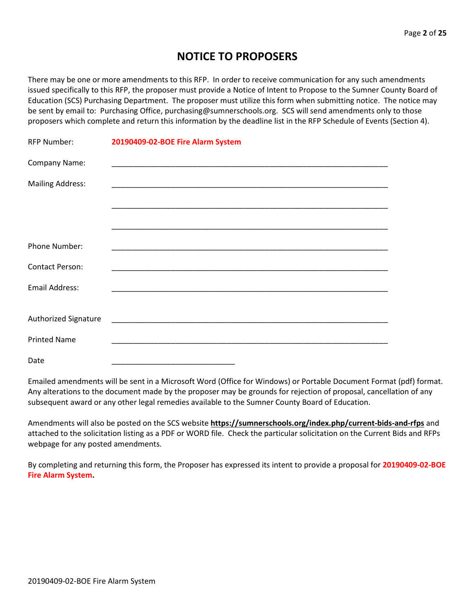# **NOTICE TO PROPOSERS**

There may be one or more amendments to this RFP. In order to receive communication for any such amendments issued specifically to this RFP, the proposer must provide a Notice of Intent to Propose to the Sumner County Board of Education (SCS) Purchasing Department. The proposer must utilize this form when submitting notice. The notice may be sent by email to: Purchasing Office, purchasing@sumnerschools.org. SCS will send amendments only to those proposers which complete and return this information by the deadline list in the RFP Schedule of Events (Section 4).

| <b>RFP Number:</b>      | 20190409-02-BOE Fire Alarm System |
|-------------------------|-----------------------------------|
| Company Name:           |                                   |
| <b>Mailing Address:</b> |                                   |
|                         |                                   |
|                         |                                   |
| Phone Number:           |                                   |
| <b>Contact Person:</b>  |                                   |
| <b>Email Address:</b>   |                                   |
|                         |                                   |
| Authorized Signature    |                                   |
| <b>Printed Name</b>     |                                   |
| Date                    |                                   |

Emailed amendments will be sent in a Microsoft Word (Office for Windows) or Portable Document Format (pdf) format. Any alterations to the document made by the proposer may be grounds for rejection of proposal, cancellation of any subsequent award or any other legal remedies available to the Sumner County Board of Education.

Amendments will also be posted on the SCS website **https://sumnerschools.org/index.php/current-bids-and-rfps** and attached to the solicitation listing as a PDF or WORD file. Check the particular solicitation on the Current Bids and RFPs webpage for any posted amendments.

By completing and returning this form, the Proposer has expressed its intent to provide a proposal for **20190409-02-BOE Fire Alarm System.**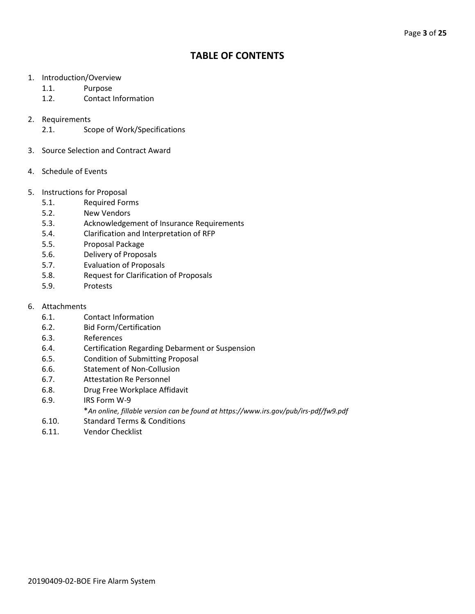# **TABLE OF CONTENTS**

- 1. Introduction/Overview
	- 1.1. Purpose
	- 1.2. Contact Information
- 2. Requirements
	- 2.1. Scope of Work/Specifications
- 3. Source Selection and Contract Award
- 4. Schedule of Events
- 5. Instructions for Proposal
	- 5.1. Required Forms
	- 5.2. New Vendors
	- 5.3. Acknowledgement of Insurance Requirements
	- 5.4. Clarification and Interpretation of RFP
	- 5.5. Proposal Package
	- 5.6. Delivery of Proposals
	- 5.7. Evaluation of Proposals
	- 5.8. Request for Clarification of Proposals
	- 5.9. Protests
- 6. Attachments
	- 6.1. Contact Information
	- 6.2. Bid Form/Certification
	- 6.3. References
	- 6.4. Certification Regarding Debarment or Suspension
	- 6.5. Condition of Submitting Proposal
	- 6.6. Statement of Non-Collusion
	- 6.7. Attestation Re Personnel
	- 6.8. Drug Free Workplace Affidavit
	- 6.9. IRS Form W-9
		- \**An online, fillable version can be found at https://www.irs.gov/pub/irs-pdf/fw9.pdf*
	- 6.10. Standard Terms & Conditions
	- 6.11. Vendor Checklist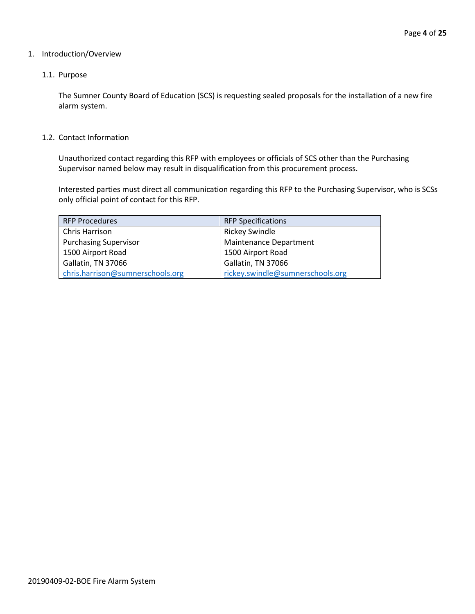## 1. Introduction/Overview

# 1.1. Purpose

The Sumner County Board of Education (SCS) is requesting sealed proposals for the installation of a new fire alarm system.

#### 1.2. Contact Information

Unauthorized contact regarding this RFP with employees or officials of SCS other than the Purchasing Supervisor named below may result in disqualification from this procurement process.

Interested parties must direct all communication regarding this RFP to the Purchasing Supervisor, who is SCSs only official point of contact for this RFP.

| <b>RFP Procedures</b>            | <b>RFP Specifications</b>        |
|----------------------------------|----------------------------------|
| Chris Harrison                   | <b>Rickey Swindle</b>            |
| <b>Purchasing Supervisor</b>     | <b>Maintenance Department</b>    |
| 1500 Airport Road                | 1500 Airport Road                |
| Gallatin, TN 37066               | Gallatin, TN 37066               |
| chris.harrison@sumnerschools.org | rickey.swindle@sumnerschools.org |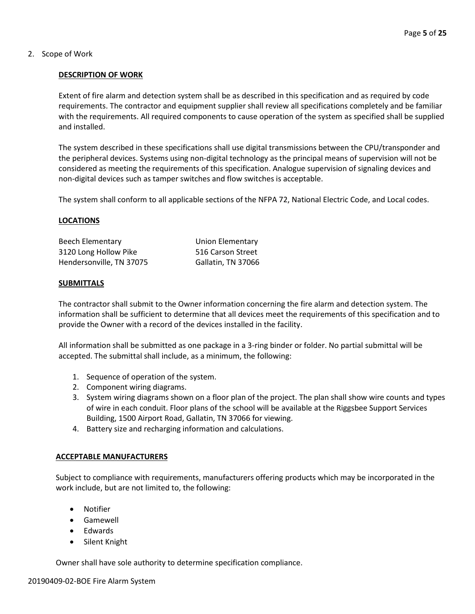2. Scope of Work

# **DESCRIPTION OF WORK**

Extent of fire alarm and detection system shall be as described in this specification and as required by code requirements. The contractor and equipment supplier shall review all specifications completely and be familiar with the requirements. All required components to cause operation of the system as specified shall be supplied and installed.

The system described in these specifications shall use digital transmissions between the CPU/transponder and the peripheral devices. Systems using non-digital technology as the principal means of supervision will not be considered as meeting the requirements of this specification. Analogue supervision of signaling devices and non-digital devices such as tamper switches and flow switches is acceptable.

The system shall conform to all applicable sections of the NFPA 72, National Electric Code, and Local codes.

# **LOCATIONS**

| Beech Elementary         | Union Elementary   |
|--------------------------|--------------------|
| 3120 Long Hollow Pike    | 516 Carson Street  |
| Hendersonville, TN 37075 | Gallatin, TN 37066 |

# **SUBMITTALS**

The contractor shall submit to the Owner information concerning the fire alarm and detection system. The information shall be sufficient to determine that all devices meet the requirements of this specification and to provide the Owner with a record of the devices installed in the facility.

All information shall be submitted as one package in a 3-ring binder or folder. No partial submittal will be accepted. The submittal shall include, as a minimum, the following:

- 1. Sequence of operation of the system.
- 2. Component wiring diagrams.
- 3. System wiring diagrams shown on a floor plan of the project. The plan shall show wire counts and types of wire in each conduit. Floor plans of the school will be available at the Riggsbee Support Services Building, 1500 Airport Road, Gallatin, TN 37066 for viewing.
- 4. Battery size and recharging information and calculations.

# **ACCEPTABLE MANUFACTURERS**

Subject to compliance with requirements, manufacturers offering products which may be incorporated in the work include, but are not limited to, the following:

- Notifier
- Gamewell
- Edwards
- Silent Knight

Owner shall have sole authority to determine specification compliance.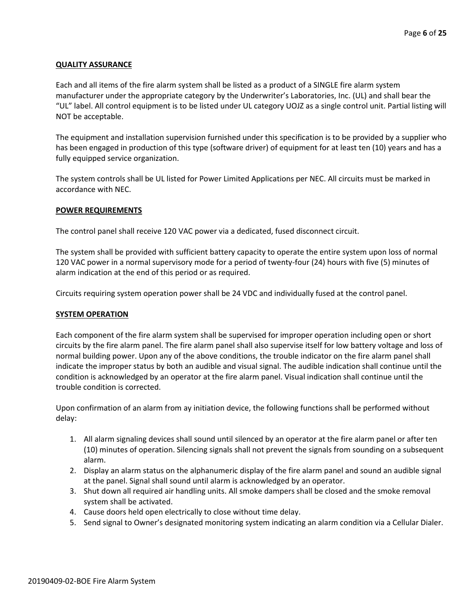# **QUALITY ASSURANCE**

Each and all items of the fire alarm system shall be listed as a product of a SINGLE fire alarm system manufacturer under the appropriate category by the Underwriter's Laboratories, Inc. (UL) and shall bear the "UL" label. All control equipment is to be listed under UL category UOJZ as a single control unit. Partial listing will NOT be acceptable.

The equipment and installation supervision furnished under this specification is to be provided by a supplier who has been engaged in production of this type (software driver) of equipment for at least ten (10) years and has a fully equipped service organization.

The system controls shall be UL listed for Power Limited Applications per NEC. All circuits must be marked in accordance with NEC.

#### **POWER REQUIREMENTS**

The control panel shall receive 120 VAC power via a dedicated, fused disconnect circuit.

The system shall be provided with sufficient battery capacity to operate the entire system upon loss of normal 120 VAC power in a normal supervisory mode for a period of twenty-four (24) hours with five (5) minutes of alarm indication at the end of this period or as required.

Circuits requiring system operation power shall be 24 VDC and individually fused at the control panel.

#### **SYSTEM OPERATION**

Each component of the fire alarm system shall be supervised for improper operation including open or short circuits by the fire alarm panel. The fire alarm panel shall also supervise itself for low battery voltage and loss of normal building power. Upon any of the above conditions, the trouble indicator on the fire alarm panel shall indicate the improper status by both an audible and visual signal. The audible indication shall continue until the condition is acknowledged by an operator at the fire alarm panel. Visual indication shall continue until the trouble condition is corrected.

Upon confirmation of an alarm from ay initiation device, the following functions shall be performed without delay:

- 1. All alarm signaling devices shall sound until silenced by an operator at the fire alarm panel or after ten (10) minutes of operation. Silencing signals shall not prevent the signals from sounding on a subsequent alarm.
- 2. Display an alarm status on the alphanumeric display of the fire alarm panel and sound an audible signal at the panel. Signal shall sound until alarm is acknowledged by an operator.
- 3. Shut down all required air handling units. All smoke dampers shall be closed and the smoke removal system shall be activated.
- 4. Cause doors held open electrically to close without time delay.
- 5. Send signal to Owner's designated monitoring system indicating an alarm condition via a Cellular Dialer.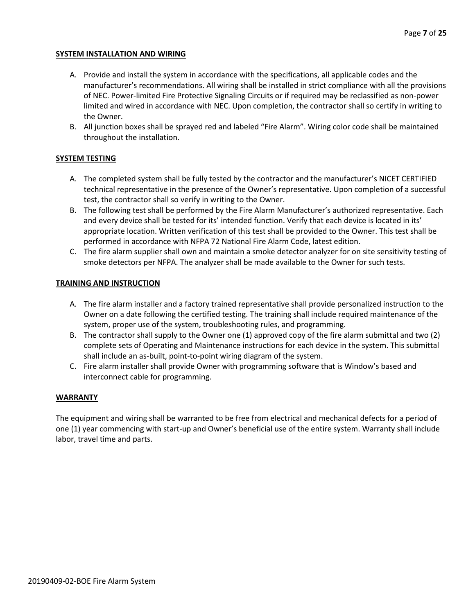# **SYSTEM INSTALLATION AND WIRING**

- A. Provide and install the system in accordance with the specifications, all applicable codes and the manufacturer's recommendations. All wiring shall be installed in strict compliance with all the provisions of NEC. Power-limited Fire Protective Signaling Circuits or if required may be reclassified as non-power limited and wired in accordance with NEC. Upon completion, the contractor shall so certify in writing to the Owner.
- B. All junction boxes shall be sprayed red and labeled "Fire Alarm". Wiring color code shall be maintained throughout the installation.

# **SYSTEM TESTING**

- A. The completed system shall be fully tested by the contractor and the manufacturer's NICET CERTIFIED technical representative in the presence of the Owner's representative. Upon completion of a successful test, the contractor shall so verify in writing to the Owner.
- B. The following test shall be performed by the Fire Alarm Manufacturer's authorized representative. Each and every device shall be tested for its' intended function. Verify that each device is located in its' appropriate location. Written verification of this test shall be provided to the Owner. This test shall be performed in accordance with NFPA 72 National Fire Alarm Code, latest edition.
- C. The fire alarm supplier shall own and maintain a smoke detector analyzer for on site sensitivity testing of smoke detectors per NFPA. The analyzer shall be made available to the Owner for such tests.

# **TRAINING AND INSTRUCTION**

- A. The fire alarm installer and a factory trained representative shall provide personalized instruction to the Owner on a date following the certified testing. The training shall include required maintenance of the system, proper use of the system, troubleshooting rules, and programming.
- B. The contractor shall supply to the Owner one (1) approved copy of the fire alarm submittal and two (2) complete sets of Operating and Maintenance instructions for each device in the system. This submittal shall include an as-built, point-to-point wiring diagram of the system.
- C. Fire alarm installer shall provide Owner with programming software that is Window's based and interconnect cable for programming.

# **WARRANTY**

The equipment and wiring shall be warranted to be free from electrical and mechanical defects for a period of one (1) year commencing with start-up and Owner's beneficial use of the entire system. Warranty shall include labor, travel time and parts.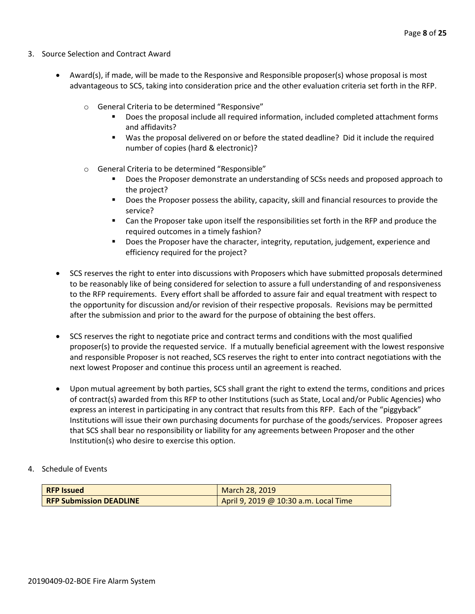- 3. Source Selection and Contract Award
	- Award(s), if made, will be made to the Responsive and Responsible proposer(s) whose proposal is most advantageous to SCS, taking into consideration price and the other evaluation criteria set forth in the RFP.
		- o General Criteria to be determined "Responsive"
			- Does the proposal include all required information, included completed attachment forms and affidavits?
			- Was the proposal delivered on or before the stated deadline? Did it include the required number of copies (hard & electronic)?
		- o General Criteria to be determined "Responsible"
			- Does the Proposer demonstrate an understanding of SCSs needs and proposed approach to the project?
			- **Does the Proposer possess the ability, capacity, skill and financial resources to provide the** service?
			- Can the Proposer take upon itself the responsibilities set forth in the RFP and produce the required outcomes in a timely fashion?
			- **Does the Proposer have the character, integrity, reputation, judgement, experience and** efficiency required for the project?
	- SCS reserves the right to enter into discussions with Proposers which have submitted proposals determined to be reasonably like of being considered for selection to assure a full understanding of and responsiveness to the RFP requirements. Every effort shall be afforded to assure fair and equal treatment with respect to the opportunity for discussion and/or revision of their respective proposals. Revisions may be permitted after the submission and prior to the award for the purpose of obtaining the best offers.
	- SCS reserves the right to negotiate price and contract terms and conditions with the most qualified proposer(s) to provide the requested service. If a mutually beneficial agreement with the lowest responsive and responsible Proposer is not reached, SCS reserves the right to enter into contract negotiations with the next lowest Proposer and continue this process until an agreement is reached.
	- Upon mutual agreement by both parties, SCS shall grant the right to extend the terms, conditions and prices of contract(s) awarded from this RFP to other Institutions (such as State, Local and/or Public Agencies) who express an interest in participating in any contract that results from this RFP. Each of the "piggyback" Institutions will issue their own purchasing documents for purchase of the goods/services. Proposer agrees that SCS shall bear no responsibility or liability for any agreements between Proposer and the other Institution(s) who desire to exercise this option.
- 4. Schedule of Events

| <b>RFP Issued</b>              | <b>March 28, 2019</b>                 |
|--------------------------------|---------------------------------------|
| <b>RFP Submission DEADLINE</b> | April 9, 2019 @ 10:30 a.m. Local Time |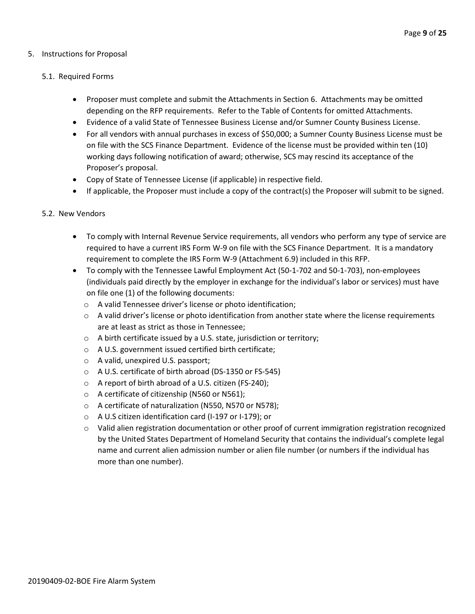# 5. Instructions for Proposal

#### 5.1. Required Forms

- Proposer must complete and submit the Attachments in Section 6. Attachments may be omitted depending on the RFP requirements. Refer to the Table of Contents for omitted Attachments.
- Evidence of a valid State of Tennessee Business License and/or Sumner County Business License.
- For all vendors with annual purchases in excess of \$50,000; a Sumner County Business License must be on file with the SCS Finance Department. Evidence of the license must be provided within ten (10) working days following notification of award; otherwise, SCS may rescind its acceptance of the Proposer's proposal.
- Copy of State of Tennessee License (if applicable) in respective field.
- If applicable, the Proposer must include a copy of the contract(s) the Proposer will submit to be signed.

#### 5.2. New Vendors

- To comply with Internal Revenue Service requirements, all vendors who perform any type of service are required to have a current IRS Form W-9 on file with the SCS Finance Department. It is a mandatory requirement to complete the IRS Form W-9 (Attachment 6.9) included in this RFP.
- To comply with the Tennessee Lawful Employment Act (50-1-702 and 50-1-703), non-employees (individuals paid directly by the employer in exchange for the individual's labor or services) must have on file one (1) of the following documents:
	- o A valid Tennessee driver's license or photo identification;
	- $\circ$  A valid driver's license or photo identification from another state where the license requirements are at least as strict as those in Tennessee;
	- o A birth certificate issued by a U.S. state, jurisdiction or territory;
	- o A U.S. government issued certified birth certificate;
	- o A valid, unexpired U.S. passport;
	- o A U.S. certificate of birth abroad (DS-1350 or FS-545)
	- o A report of birth abroad of a U.S. citizen (FS-240);
	- o A certificate of citizenship (N560 or N561);
	- o A certificate of naturalization (N550, N570 or N578);
	- o A U.S citizen identification card (I-197 or I-179); or
	- $\circ$  Valid alien registration documentation or other proof of current immigration registration recognized by the United States Department of Homeland Security that contains the individual's complete legal name and current alien admission number or alien file number (or numbers if the individual has more than one number).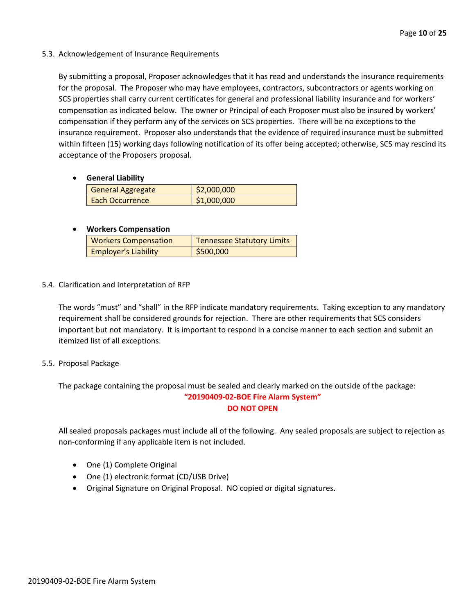5.3. Acknowledgement of Insurance Requirements

By submitting a proposal, Proposer acknowledges that it has read and understands the insurance requirements for the proposal. The Proposer who may have employees, contractors, subcontractors or agents working on SCS properties shall carry current certificates for general and professional liability insurance and for workers' compensation as indicated below. The owner or Principal of each Proposer must also be insured by workers' compensation if they perform any of the services on SCS properties. There will be no exceptions to the insurance requirement. Proposer also understands that the evidence of required insurance must be submitted within fifteen (15) working days following notification of its offer being accepted; otherwise, SCS may rescind its acceptance of the Proposers proposal.

• **General Liability**

| <b>General Aggregate</b> | $\frac{1}{2}$ ,000,000 |
|--------------------------|------------------------|
| Each Occurrence          | \$1,000,000            |

# • **Workers Compensation**

| <b>Workers Compensation</b> | <b>Tennessee Statutory Limits</b> |
|-----------------------------|-----------------------------------|
| <b>Employer's Liability</b> | \$500,000                         |

5.4. Clarification and Interpretation of RFP

The words "must" and "shall" in the RFP indicate mandatory requirements. Taking exception to any mandatory requirement shall be considered grounds for rejection. There are other requirements that SCS considers important but not mandatory. It is important to respond in a concise manner to each section and submit an itemized list of all exceptions.

# 5.5. Proposal Package

The package containing the proposal must be sealed and clearly marked on the outside of the package: **"20190409-02-BOE Fire Alarm System"**

**DO NOT OPEN**

All sealed proposals packages must include all of the following. Any sealed proposals are subject to rejection as non-conforming if any applicable item is not included.

- One (1) Complete Original
- One (1) electronic format (CD/USB Drive)
- Original Signature on Original Proposal. NO copied or digital signatures.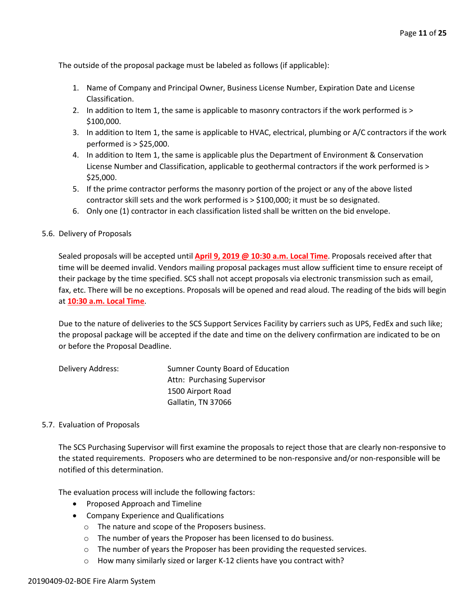The outside of the proposal package must be labeled as follows (if applicable):

- 1. Name of Company and Principal Owner, Business License Number, Expiration Date and License Classification.
- 2. In addition to Item 1, the same is applicable to masonry contractors if the work performed is > \$100,000.
- 3. In addition to Item 1, the same is applicable to HVAC, electrical, plumbing or A/C contractors if the work performed is > \$25,000.
- 4. In addition to Item 1, the same is applicable plus the Department of Environment & Conservation License Number and Classification, applicable to geothermal contractors if the work performed is > \$25,000.
- 5. If the prime contractor performs the masonry portion of the project or any of the above listed contractor skill sets and the work performed is > \$100,000; it must be so designated.
- 6. Only one (1) contractor in each classification listed shall be written on the bid envelope.
- 5.6. Delivery of Proposals

Sealed proposals will be accepted until **April 9, 2019 @ 10:30 a.m. Local Time**. Proposals received after that time will be deemed invalid. Vendors mailing proposal packages must allow sufficient time to ensure receipt of their package by the time specified. SCS shall not accept proposals via electronic transmission such as email, fax, etc. There will be no exceptions. Proposals will be opened and read aloud. The reading of the bids will begin at **10:30 a.m. Local Time**.

Due to the nature of deliveries to the SCS Support Services Facility by carriers such as UPS, FedEx and such like; the proposal package will be accepted if the date and time on the delivery confirmation are indicated to be on or before the Proposal Deadline.

| Delivery Address: | Sumner County Board of Education |
|-------------------|----------------------------------|
|                   | Attn: Purchasing Supervisor      |
|                   | 1500 Airport Road                |
|                   | Gallatin, TN 37066               |

# 5.7. Evaluation of Proposals

The SCS Purchasing Supervisor will first examine the proposals to reject those that are clearly non-responsive to the stated requirements. Proposers who are determined to be non-responsive and/or non-responsible will be notified of this determination.

The evaluation process will include the following factors:

- Proposed Approach and Timeline
- Company Experience and Qualifications
	- o The nature and scope of the Proposers business.
	- o The number of years the Proposer has been licensed to do business.
	- o The number of years the Proposer has been providing the requested services.
	- o How many similarly sized or larger K-12 clients have you contract with?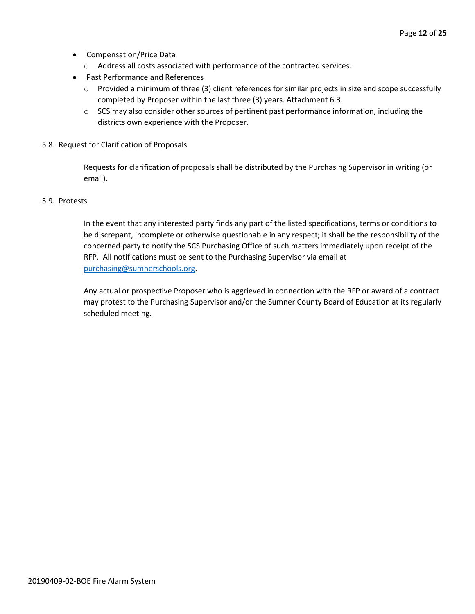- Compensation/Price Data
	- o Address all costs associated with performance of the contracted services.
- Past Performance and References
	- o Provided a minimum of three (3) client references for similar projects in size and scope successfully completed by Proposer within the last three (3) years. Attachment 6.3.
	- $\circ$  SCS may also consider other sources of pertinent past performance information, including the districts own experience with the Proposer.
- 5.8. Request for Clarification of Proposals

Requests for clarification of proposals shall be distributed by the Purchasing Supervisor in writing (or email).

#### 5.9. Protests

In the event that any interested party finds any part of the listed specifications, terms or conditions to be discrepant, incomplete or otherwise questionable in any respect; it shall be the responsibility of the concerned party to notify the SCS Purchasing Office of such matters immediately upon receipt of the RFP. All notifications must be sent to the Purchasing Supervisor via email at [purchasing@sumnerschools.org.](mailto:purchasing@sumnerschools.org)

Any actual or prospective Proposer who is aggrieved in connection with the RFP or award of a contract may protest to the Purchasing Supervisor and/or the Sumner County Board of Education at its regularly scheduled meeting.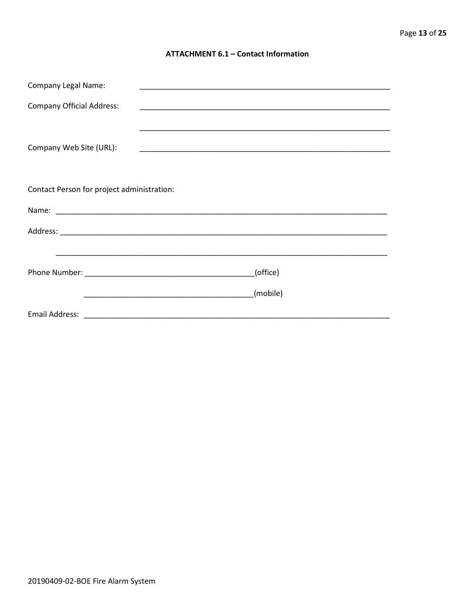## **ATTACHMENT 6.1 - Contact Information**

| <b>Company Legal Name:</b>                 | <u> 1989 - Johann John Stoff, deutscher Stoffen und der Stoffen und der Stoffen und der Stoffen und der Stoffen u</u> |  |  |
|--------------------------------------------|-----------------------------------------------------------------------------------------------------------------------|--|--|
| <b>Company Official Address:</b>           |                                                                                                                       |  |  |
|                                            |                                                                                                                       |  |  |
| Company Web Site (URL):                    |                                                                                                                       |  |  |
|                                            |                                                                                                                       |  |  |
| Contact Person for project administration: |                                                                                                                       |  |  |
|                                            |                                                                                                                       |  |  |
|                                            |                                                                                                                       |  |  |
|                                            |                                                                                                                       |  |  |
|                                            | (office)                                                                                                              |  |  |
|                                            | (mobile)                                                                                                              |  |  |
|                                            |                                                                                                                       |  |  |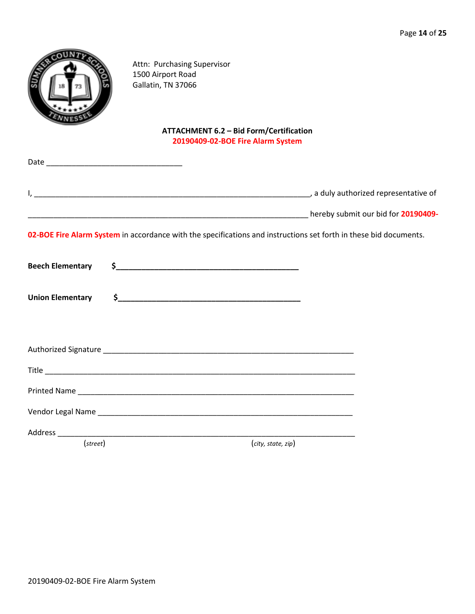|                         | Attn: Purchasing Supervisor<br>1500 Airport Road<br>Gallatin, TN 37066              |                                                                                                                   |
|-------------------------|-------------------------------------------------------------------------------------|-------------------------------------------------------------------------------------------------------------------|
|                         | <b>ATTACHMENT 6.2 - Bid Form/Certification</b><br>20190409-02-BOE Fire Alarm System |                                                                                                                   |
|                         |                                                                                     |                                                                                                                   |
|                         |                                                                                     |                                                                                                                   |
|                         |                                                                                     |                                                                                                                   |
|                         |                                                                                     | 02-BOE Fire Alarm System in accordance with the specifications and instructions set forth in these bid documents. |
| <b>Beech Elementary</b> |                                                                                     |                                                                                                                   |
| <b>Union Elementary</b> | $\frac{1}{2}$                                                                       |                                                                                                                   |
|                         |                                                                                     |                                                                                                                   |
|                         |                                                                                     |                                                                                                                   |
|                         |                                                                                     |                                                                                                                   |
|                         |                                                                                     |                                                                                                                   |
|                         |                                                                                     |                                                                                                                   |
|                         |                                                                                     |                                                                                                                   |
| (street)                |                                                                                     | (city, state, zip)                                                                                                |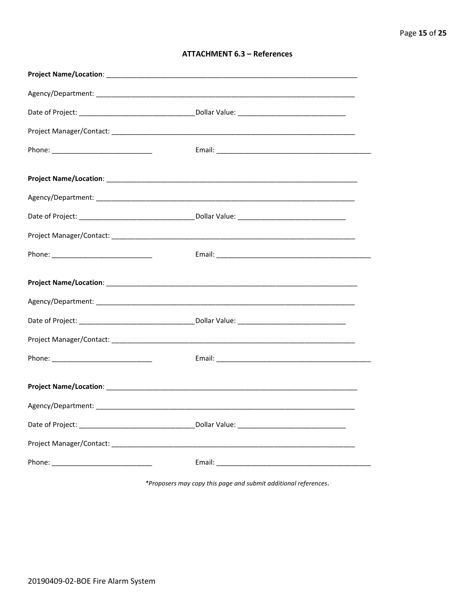| <b>ATTACHMENT 6.3 - References</b> |  |  |
|------------------------------------|--|--|
|------------------------------------|--|--|

\*Proposers may copy this page and submit additional references.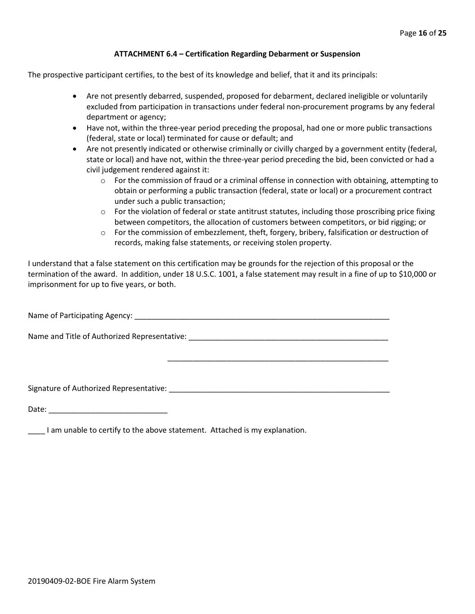#### **ATTACHMENT 6.4 – Certification Regarding Debarment or Suspension**

The prospective participant certifies, to the best of its knowledge and belief, that it and its principals:

- Are not presently debarred, suspended, proposed for debarment, declared ineligible or voluntarily excluded from participation in transactions under federal non-procurement programs by any federal department or agency;
- Have not, within the three-year period preceding the proposal, had one or more public transactions (federal, state or local) terminated for cause or default; and
- Are not presently indicated or otherwise criminally or civilly charged by a government entity (federal, state or local) and have not, within the three-year period preceding the bid, been convicted or had a civil judgement rendered against it:
	- $\circ$  For the commission of fraud or a criminal offense in connection with obtaining, attempting to obtain or performing a public transaction (federal, state or local) or a procurement contract under such a public transaction;
	- $\circ$  For the violation of federal or state antitrust statutes, including those proscribing price fixing between competitors, the allocation of customers between competitors, or bid rigging; or
	- o For the commission of embezzlement, theft, forgery, bribery, falsification or destruction of records, making false statements, or receiving stolen property.

\_\_\_\_\_\_\_\_\_\_\_\_\_\_\_\_\_\_\_\_\_\_\_\_\_\_\_\_\_\_\_\_\_\_\_\_\_\_\_\_\_\_\_\_\_\_\_\_\_\_\_\_

I understand that a false statement on this certification may be grounds for the rejection of this proposal or the termination of the award. In addition, under 18 U.S.C. 1001, a false statement may result in a fine of up to \$10,000 or imprisonment for up to five years, or both.

Name of Participating Agency: \_\_\_\_\_\_\_\_\_\_\_\_\_\_\_\_\_\_\_\_\_\_\_\_\_\_\_\_\_\_\_\_\_\_\_\_\_\_\_\_\_\_\_\_\_\_\_\_\_\_\_\_\_\_\_\_\_\_\_\_

Name and Title of Authorized Representative: \_\_\_\_\_\_\_\_\_\_\_\_\_\_\_\_\_\_\_\_\_\_\_\_\_\_\_\_\_\_\_\_\_\_\_\_\_\_\_\_\_\_\_\_\_\_\_

Signature of Authorized Representative: \_\_\_\_\_\_\_\_\_\_\_\_\_\_\_\_\_\_\_\_\_\_\_\_\_\_\_\_\_\_\_\_\_\_\_\_\_\_\_\_\_\_\_\_\_\_\_\_\_\_\_\_

Date: \_\_\_\_\_\_\_\_\_\_\_\_\_\_\_\_\_\_\_\_\_\_\_\_\_\_\_\_

\_\_\_\_ I am unable to certify to the above statement. Attached is my explanation.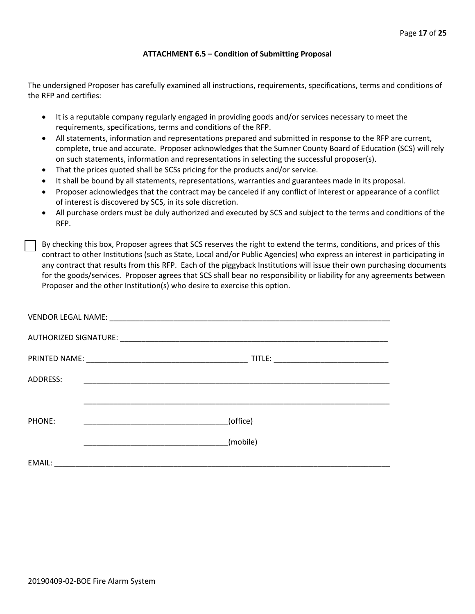#### **ATTACHMENT 6.5 – Condition of Submitting Proposal**

The undersigned Proposer has carefully examined all instructions, requirements, specifications, terms and conditions of the RFP and certifies:

- It is a reputable company regularly engaged in providing goods and/or services necessary to meet the requirements, specifications, terms and conditions of the RFP.
- All statements, information and representations prepared and submitted in response to the RFP are current, complete, true and accurate. Proposer acknowledges that the Sumner County Board of Education (SCS) will rely on such statements, information and representations in selecting the successful proposer(s).
- That the prices quoted shall be SCSs pricing for the products and/or service.
- It shall be bound by all statements, representations, warranties and guarantees made in its proposal.
- Proposer acknowledges that the contract may be canceled if any conflict of interest or appearance of a conflict of interest is discovered by SCS, in its sole discretion.
- All purchase orders must be duly authorized and executed by SCS and subject to the terms and conditions of the RFP.

By checking this box, Proposer agrees that SCS reserves the right to extend the terms, conditions, and prices of this contract to other Institutions (such as State, Local and/or Public Agencies) who express an interest in participating in any contract that results from this RFP. Each of the piggyback Institutions will issue their own purchasing documents for the goods/services. Proposer agrees that SCS shall bear no responsibility or liability for any agreements between Proposer and the other Institution(s) who desire to exercise this option.

| ADDRESS: | <u> 1989 - Johann John Stone, markin film yn y system yn y system yn y system yn y system yn y system yn y system</u> |
|----------|-----------------------------------------------------------------------------------------------------------------------|
|          |                                                                                                                       |
| PHONE:   | (office)                                                                                                              |
|          | (mobile)                                                                                                              |
| EMAIL:   |                                                                                                                       |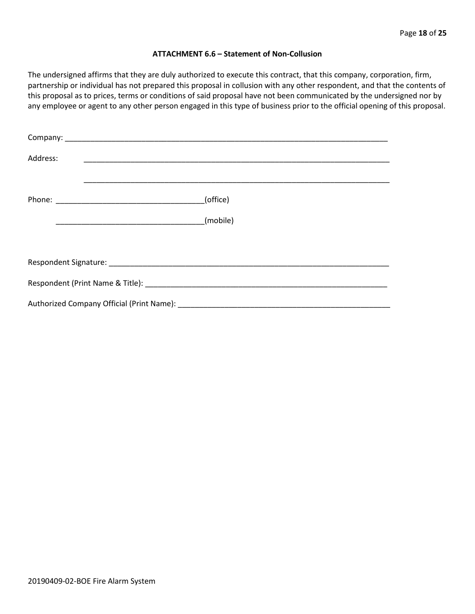#### **ATTACHMENT 6.6 – Statement of Non-Collusion**

The undersigned affirms that they are duly authorized to execute this contract, that this company, corporation, firm, partnership or individual has not prepared this proposal in collusion with any other respondent, and that the contents of this proposal as to prices, terms or conditions of said proposal have not been communicated by the undersigned nor by any employee or agent to any other person engaged in this type of business prior to the official opening of this proposal.

| Address: |          |  |  |  |
|----------|----------|--|--|--|
|          | (office) |  |  |  |
|          | (mobile) |  |  |  |
|          |          |  |  |  |
|          |          |  |  |  |
|          |          |  |  |  |
|          |          |  |  |  |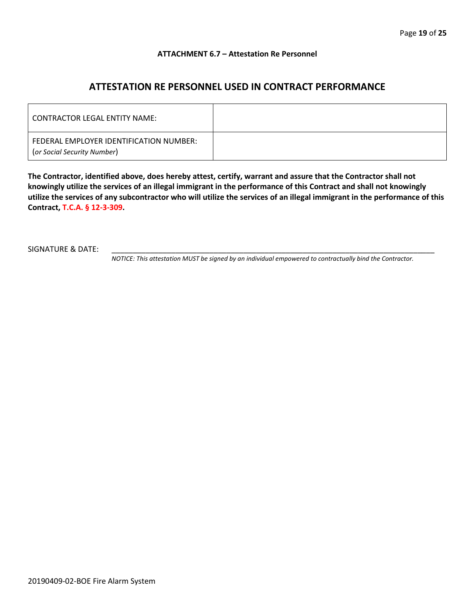#### **ATTACHMENT 6.7 – Attestation Re Personnel**

# **ATTESTATION RE PERSONNEL USED IN CONTRACT PERFORMANCE**

| CONTRACTOR LEGAL ENTITY NAME:                                          |  |
|------------------------------------------------------------------------|--|
| FEDERAL EMPLOYER IDENTIFICATION NUMBER:<br>(or Social Security Number) |  |

**The Contractor, identified above, does hereby attest, certify, warrant and assure that the Contractor shall not knowingly utilize the services of an illegal immigrant in the performance of this Contract and shall not knowingly utilize the services of any subcontractor who will utilize the services of an illegal immigrant in the performance of this Contract, T.C.A. § 12-3-309.**

SIGNATURE & DATE:

*NOTICE: This attestation MUST be signed by an individual empowered to contractually bind the Contractor.*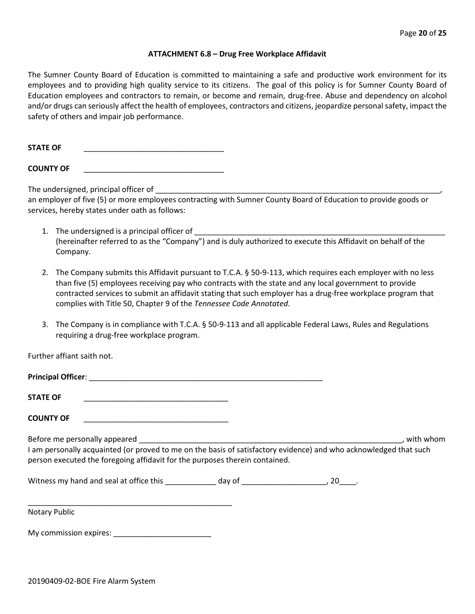#### **ATTACHMENT 6.8 – Drug Free Workplace Affidavit**

The Sumner County Board of Education is committed to maintaining a safe and productive work environment for its employees and to providing high quality service to its citizens. The goal of this policy is for Sumner County Board of Education employees and contractors to remain, or become and remain, drug-free. Abuse and dependency on alcohol and/or drugs can seriously affect the health of employees, contractors and citizens, jeopardize personal safety, impact the safety of others and impair job performance.

**STATE OF** \_\_\_\_\_\_\_\_\_\_\_\_\_\_\_\_\_\_\_\_\_\_\_\_\_\_\_\_\_\_\_\_\_

**COUNTY OF** \_\_\_\_\_\_\_\_\_\_\_\_\_\_\_\_\_\_\_\_\_\_\_\_\_\_\_\_\_\_\_\_\_

The undersigned, principal officer of

an employer of five (5) or more employees contracting with Sumner County Board of Education to provide goods or services, hereby states under oath as follows:

- 1. The undersigned is a principal officer of (hereinafter referred to as the "Company") and is duly authorized to execute this Affidavit on behalf of the Company.
- 2. The Company submits this Affidavit pursuant to T.C.A. § 50-9-113, which requires each employer with no less than five (5) employees receiving pay who contracts with the state and any local government to provide contracted services to submit an affidavit stating that such employer has a drug-free workplace program that complies with Title 50, Chapter 9 of the *Tennessee Code Annotated*.
- 3. The Company is in compliance with T.C.A. § 50-9-113 and all applicable Federal Laws, Rules and Regulations requiring a drug-free workplace program.

Further affiant saith not.

| <b>STATE OF</b>                                                                                                                                                                                  |  |           |
|--------------------------------------------------------------------------------------------------------------------------------------------------------------------------------------------------|--|-----------|
| <b>COUNTY OF</b>                                                                                                                                                                                 |  |           |
| I am personally acquainted (or proved to me on the basis of satisfactory evidence) and who acknowledged that such<br>person executed the foregoing affidavit for the purposes therein contained. |  | with whom |
|                                                                                                                                                                                                  |  |           |
|                                                                                                                                                                                                  |  |           |

Notary Public

My commission expires: \_\_\_\_\_\_\_\_\_\_\_\_\_\_\_\_\_\_\_\_\_\_\_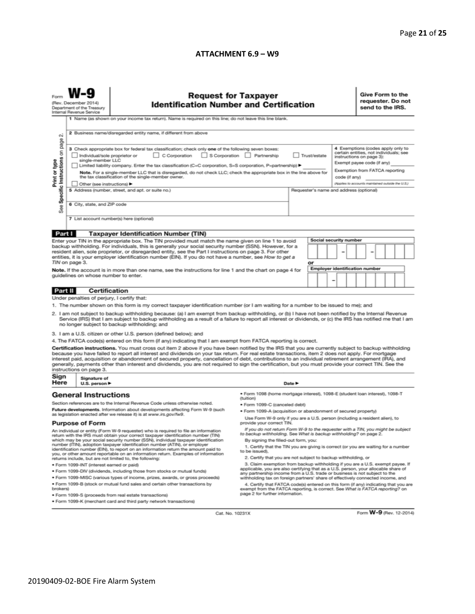#### **ATTACHMENT 6.9 – W9**

| N                                                                                                                                                                                                                                                                                                                                                                                                                                                                                                                                                                                                                                                        | <b>Request for Taxpayer</b><br>(Rev. December 2014)<br><b>Identification Number and Certification</b><br>Department of the Treasury<br>Internal Revenue Service<br>1 Name (as shown on your income tax return). Name is required on this line; do not leave this line blank.<br>2 Business name/disregarded entity name, if different from above                                                                                                                                                                                                                                                                                                                                                                                     |                                                                                                                                                                                                               |                                                                                                                                                      |        |  |  |                                                                                                                                                                                                                              |  | Give Form to the<br>requester. Do not<br>send to the IRS. |  |  |  |  |
|----------------------------------------------------------------------------------------------------------------------------------------------------------------------------------------------------------------------------------------------------------------------------------------------------------------------------------------------------------------------------------------------------------------------------------------------------------------------------------------------------------------------------------------------------------------------------------------------------------------------------------------------------------|--------------------------------------------------------------------------------------------------------------------------------------------------------------------------------------------------------------------------------------------------------------------------------------------------------------------------------------------------------------------------------------------------------------------------------------------------------------------------------------------------------------------------------------------------------------------------------------------------------------------------------------------------------------------------------------------------------------------------------------|---------------------------------------------------------------------------------------------------------------------------------------------------------------------------------------------------------------|------------------------------------------------------------------------------------------------------------------------------------------------------|--------|--|--|------------------------------------------------------------------------------------------------------------------------------------------------------------------------------------------------------------------------------|--|-----------------------------------------------------------|--|--|--|--|
| Print or type<br>See                                                                                                                                                                                                                                                                                                                                                                                                                                                                                                                                                                                                                                     | Specific Instructions on page<br>3 Check appropriate box for federal tax classification; check only one of the following seven boxes:<br>C Corporation<br>S Corporation Partnership<br>Trust/estate<br>Individual/sole proprietor or<br>single-member LLC<br>Limited liability company. Enter the tax classification (C=C corporation, S=S corporation, P=partnership) ▶<br>Note. For a single-member LLC that is disregarded, do not check LLC; check the appropriate box in the line above for<br>the tax classification of the single-member owner.<br>code (if any)<br>Other (see instructions) ▶<br>5 Address (number, street, and apt. or suite no.)<br>Requester's name and address (optional)<br>6 City, state, and ZIP code |                                                                                                                                                                                                               |                                                                                                                                                      |        |  |  | 4 Exemptions (codes apply only to<br>certain entities, not individuals; see<br>instructions on page 3):<br>Exempt payee code (if any)<br>Exemption from FATCA reporting<br>(Applies to accounts maintained outside the U.S.) |  |                                                           |  |  |  |  |
| 7 List account number(s) here (optional)                                                                                                                                                                                                                                                                                                                                                                                                                                                                                                                                                                                                                 |                                                                                                                                                                                                                                                                                                                                                                                                                                                                                                                                                                                                                                                                                                                                      |                                                                                                                                                                                                               |                                                                                                                                                      |        |  |  |                                                                                                                                                                                                                              |  |                                                           |  |  |  |  |
| Part I                                                                                                                                                                                                                                                                                                                                                                                                                                                                                                                                                                                                                                                   |                                                                                                                                                                                                                                                                                                                                                                                                                                                                                                                                                                                                                                                                                                                                      | <b>Taxpayer Identification Number (TIN)</b>                                                                                                                                                                   |                                                                                                                                                      |        |  |  |                                                                                                                                                                                                                              |  |                                                           |  |  |  |  |
|                                                                                                                                                                                                                                                                                                                                                                                                                                                                                                                                                                                                                                                          |                                                                                                                                                                                                                                                                                                                                                                                                                                                                                                                                                                                                                                                                                                                                      | Enter your TIN in the appropriate box. The TIN provided must match the name given on line 1 to avoid                                                                                                          |                                                                                                                                                      |        |  |  | Social security number                                                                                                                                                                                                       |  |                                                           |  |  |  |  |
| backup withholding. For individuals, this is generally your social security number (SSN). However, for a<br>resident alien, sole proprietor, or disregarded entity, see the Part I instructions on page 3. For other<br>entities, it is your employer identification number (EIN). If you do not have a number, see How to get a<br>TIN on page 3.<br>or                                                                                                                                                                                                                                                                                                 |                                                                                                                                                                                                                                                                                                                                                                                                                                                                                                                                                                                                                                                                                                                                      |                                                                                                                                                                                                               |                                                                                                                                                      |        |  |  |                                                                                                                                                                                                                              |  |                                                           |  |  |  |  |
| Employer identification number<br>Note. If the account is in more than one name, see the instructions for line 1 and the chart on page 4 for<br>guidelines on whose number to enter.<br>-                                                                                                                                                                                                                                                                                                                                                                                                                                                                |                                                                                                                                                                                                                                                                                                                                                                                                                                                                                                                                                                                                                                                                                                                                      |                                                                                                                                                                                                               |                                                                                                                                                      |        |  |  |                                                                                                                                                                                                                              |  |                                                           |  |  |  |  |
| Part II                                                                                                                                                                                                                                                                                                                                                                                                                                                                                                                                                                                                                                                  | <b>Certification</b>                                                                                                                                                                                                                                                                                                                                                                                                                                                                                                                                                                                                                                                                                                                 |                                                                                                                                                                                                               |                                                                                                                                                      |        |  |  |                                                                                                                                                                                                                              |  |                                                           |  |  |  |  |
|                                                                                                                                                                                                                                                                                                                                                                                                                                                                                                                                                                                                                                                          | Under penalties of perjury, I certify that:                                                                                                                                                                                                                                                                                                                                                                                                                                                                                                                                                                                                                                                                                          |                                                                                                                                                                                                               |                                                                                                                                                      |        |  |  |                                                                                                                                                                                                                              |  |                                                           |  |  |  |  |
| 1. The number shown on this form is my correct taxpayer identification number (or I am waiting for a number to be issued to me); and<br>2. I am not subject to backup withholding because: (a) I am exempt from backup withholding, or (b) I have not been notified by the Internal Revenue<br>Service (IRS) that I am subject to backup withholding as a result of a failure to report all interest or dividends, or (c) the IRS has notified me that I am<br>no longer subject to backup withholding; and                                                                                                                                              |                                                                                                                                                                                                                                                                                                                                                                                                                                                                                                                                                                                                                                                                                                                                      |                                                                                                                                                                                                               |                                                                                                                                                      |        |  |  |                                                                                                                                                                                                                              |  |                                                           |  |  |  |  |
|                                                                                                                                                                                                                                                                                                                                                                                                                                                                                                                                                                                                                                                          |                                                                                                                                                                                                                                                                                                                                                                                                                                                                                                                                                                                                                                                                                                                                      | 3. I am a U.S. citizen or other U.S. person (defined below); and                                                                                                                                              |                                                                                                                                                      |        |  |  |                                                                                                                                                                                                                              |  |                                                           |  |  |  |  |
|                                                                                                                                                                                                                                                                                                                                                                                                                                                                                                                                                                                                                                                          |                                                                                                                                                                                                                                                                                                                                                                                                                                                                                                                                                                                                                                                                                                                                      | 4. The FATCA code(s) entered on this form (if any) indicating that I am exempt from FATCA reporting is correct.                                                                                               |                                                                                                                                                      |        |  |  |                                                                                                                                                                                                                              |  |                                                           |  |  |  |  |
| Certification instructions. You must cross out item 2 above if you have been notified by the IRS that you are currently subject to backup withholding<br>because you have failed to report all interest and dividends on your tax return. For real estate transactions, item 2 does not apply. For mortgage<br>interest paid, acquisition or abandonment of secured property, cancellation of debt, contributions to an individual retirement arrangement (IRA), and<br>generally, payments other than interest and dividends, you are not required to sign the certification, but you must provide your correct TIN. See the<br>instructions on page 3. |                                                                                                                                                                                                                                                                                                                                                                                                                                                                                                                                                                                                                                                                                                                                      |                                                                                                                                                                                                               |                                                                                                                                                      |        |  |  |                                                                                                                                                                                                                              |  |                                                           |  |  |  |  |
| Sign<br>Here                                                                                                                                                                                                                                                                                                                                                                                                                                                                                                                                                                                                                                             | Signature of<br>U.S. person ▶                                                                                                                                                                                                                                                                                                                                                                                                                                                                                                                                                                                                                                                                                                        |                                                                                                                                                                                                               |                                                                                                                                                      | Date P |  |  |                                                                                                                                                                                                                              |  |                                                           |  |  |  |  |
|                                                                                                                                                                                                                                                                                                                                                                                                                                                                                                                                                                                                                                                          | <b>General Instructions</b>                                                                                                                                                                                                                                                                                                                                                                                                                                                                                                                                                                                                                                                                                                          |                                                                                                                                                                                                               | · Form 1098 (home mortgage interest), 1098-E (student Ioan interest), 1098-T                                                                         |        |  |  |                                                                                                                                                                                                                              |  |                                                           |  |  |  |  |
|                                                                                                                                                                                                                                                                                                                                                                                                                                                                                                                                                                                                                                                          |                                                                                                                                                                                                                                                                                                                                                                                                                                                                                                                                                                                                                                                                                                                                      | Section references are to the Internal Revenue Code unless otherwise noted.                                                                                                                                   | (tuition)                                                                                                                                            |        |  |  |                                                                                                                                                                                                                              |  |                                                           |  |  |  |  |
|                                                                                                                                                                                                                                                                                                                                                                                                                                                                                                                                                                                                                                                          |                                                                                                                                                                                                                                                                                                                                                                                                                                                                                                                                                                                                                                                                                                                                      | Future developments. Information about developments affecting Form W-9 (such                                                                                                                                  | • Form 1099-C (canceled debt)                                                                                                                        |        |  |  |                                                                                                                                                                                                                              |  |                                                           |  |  |  |  |
| as legislation enacted after we release it) is at www.irs.gov/fw9.<br><b>Purpose of Form</b>                                                                                                                                                                                                                                                                                                                                                                                                                                                                                                                                                             |                                                                                                                                                                                                                                                                                                                                                                                                                                                                                                                                                                                                                                                                                                                                      | . Form 1099-A (acquisition or abandonment of secured property)<br>Use Form W-9 only if you are a U.S. person (including a resident alien), to<br>provide your correct TIN.                                    |                                                                                                                                                      |        |  |  |                                                                                                                                                                                                                              |  |                                                           |  |  |  |  |
| An individual or entity (Form W-9 requester) who is required to file an information<br>return with the IRS must obtain your correct taxpayer identification number (TIN)                                                                                                                                                                                                                                                                                                                                                                                                                                                                                 |                                                                                                                                                                                                                                                                                                                                                                                                                                                                                                                                                                                                                                                                                                                                      |                                                                                                                                                                                                               | If you do not return Form W-9 to the requester with a TIN, you might be subject<br>to backup withholding. See What is backup withholding? on page 2. |        |  |  |                                                                                                                                                                                                                              |  |                                                           |  |  |  |  |
| which may be your social security number (SSN), individual taxpayer identification<br>number (ITIN), adoption taxpayer identification number (ATIN), or employer<br>identification number (EIN), to report on an information return the amount paid to<br>you, or other amount reportable on an information return. Examples of information<br>returns include, but are not limited to, the following:                                                                                                                                                                                                                                                   |                                                                                                                                                                                                                                                                                                                                                                                                                                                                                                                                                                                                                                                                                                                                      | By signing the filled-out form, you:<br>1. Certify that the TIN you are giving is correct (or you are waiting for a number<br>to be issued).<br>2. Certify that you are not subject to backup withholding, or |                                                                                                                                                      |        |  |  |                                                                                                                                                                                                                              |  |                                                           |  |  |  |  |
| 3. Claim exemption from backup withholding if you are a U.S. exempt payee. If<br>· Form 1099-INT (interest earned or paid)                                                                                                                                                                                                                                                                                                                                                                                                                                                                                                                               |                                                                                                                                                                                                                                                                                                                                                                                                                                                                                                                                                                                                                                                                                                                                      |                                                                                                                                                                                                               |                                                                                                                                                      |        |  |  |                                                                                                                                                                                                                              |  |                                                           |  |  |  |  |
| applicable, you are also certifying that as a U.S. person, your allocable share of<br>. Form 1099-DIV (dividends, including those from stocks or mutual funds)<br>any partnership income from a U.S. trade or business is not subject to the                                                                                                                                                                                                                                                                                                                                                                                                             |                                                                                                                                                                                                                                                                                                                                                                                                                                                                                                                                                                                                                                                                                                                                      |                                                                                                                                                                                                               |                                                                                                                                                      |        |  |  |                                                                                                                                                                                                                              |  |                                                           |  |  |  |  |
| . Form 1099-MISC (various types of income, prizes, awards, or gross proceeds)<br>withholding tax on foreign partners' share of effectively connected income, and                                                                                                                                                                                                                                                                                                                                                                                                                                                                                         |                                                                                                                                                                                                                                                                                                                                                                                                                                                                                                                                                                                                                                                                                                                                      |                                                                                                                                                                                                               |                                                                                                                                                      |        |  |  |                                                                                                                                                                                                                              |  |                                                           |  |  |  |  |
|                                                                                                                                                                                                                                                                                                                                                                                                                                                                                                                                                                                                                                                          | . Form 1099-B (stock or mutual fund sales and certain other transactions by<br>4. Certify that FATCA code(s) entered on this form (if any) indicating that you are<br>brokers)<br>exempt from the FATCA reporting, is correct. See What is FATCA reporting? on<br>page 2 for further information.                                                                                                                                                                                                                                                                                                                                                                                                                                    |                                                                                                                                                                                                               |                                                                                                                                                      |        |  |  |                                                                                                                                                                                                                              |  |                                                           |  |  |  |  |
|                                                                                                                                                                                                                                                                                                                                                                                                                                                                                                                                                                                                                                                          |                                                                                                                                                                                                                                                                                                                                                                                                                                                                                                                                                                                                                                                                                                                                      | · Form 1099-S (proceeds from real estate transactions)                                                                                                                                                        |                                                                                                                                                      |        |  |  |                                                                                                                                                                                                                              |  |                                                           |  |  |  |  |
|                                                                                                                                                                                                                                                                                                                                                                                                                                                                                                                                                                                                                                                          | . Form 1099-K (merchant card and third party network transactions)                                                                                                                                                                                                                                                                                                                                                                                                                                                                                                                                                                                                                                                                   |                                                                                                                                                                                                               |                                                                                                                                                      |        |  |  |                                                                                                                                                                                                                              |  |                                                           |  |  |  |  |

Cat. No. 10231X

Form **W-9** (Rev. 12-2014)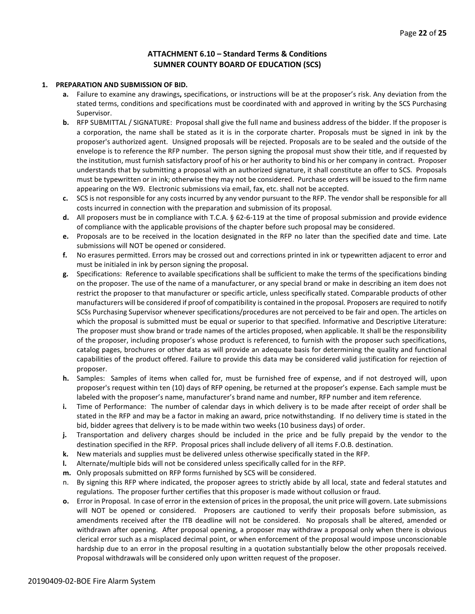# **ATTACHMENT 6.10 – Standard Terms & Conditions SUMNER COUNTY BOARD OF EDUCATION (SCS)**

#### **1. PREPARATION AND SUBMISSION OF BID.**

- **a.** Failure to examine any drawings**,** specifications, or instructions will be at the proposer's risk. Any deviation from the stated terms, conditions and specifications must be coordinated with and approved in writing by the SCS Purchasing Supervisor.
- **b.** RFP SUBMITTAL / SIGNATURE: Proposal shall give the full name and business address of the bidder. If the proposer is a corporation, the name shall be stated as it is in the corporate charter. Proposals must be signed in ink by the proposer's authorized agent. Unsigned proposals will be rejected. Proposals are to be sealed and the outside of the envelope is to reference the RFP number. The person signing the proposal must show their title, and if requested by the institution, must furnish satisfactory proof of his or her authority to bind his or her company in contract. Proposer understands that by submitting a proposal with an authorized signature, it shall constitute an offer to SCS. Proposals must be typewritten or in ink; otherwise they may not be considered. Purchase orders will be issued to the firm name appearing on the W9. Electronic submissions via email, fax, etc. shall not be accepted.
- **c.** SCS is not responsible for any costs incurred by any vendor pursuant to the RFP. The vendor shall be responsible for all costs incurred in connection with the preparation and submission of its proposal.
- **d.** All proposers must be in compliance with T.C.A. § 62-6-119 at the time of proposal submission and provide evidence of compliance with the applicable provisions of the chapter before such proposal may be considered.
- **e.** Proposals are to be received in the location designated in the RFP no later than the specified date and time. Late submissions will NOT be opened or considered.
- **f.** No erasures permitted. Errors may be crossed out and corrections printed in ink or typewritten adjacent to error and must be initialed in ink by person signing the proposal.
- **g.** Specifications: Reference to available specifications shall be sufficient to make the terms of the specifications binding on the proposer. The use of the name of a manufacturer, or any special brand or make in describing an item does not restrict the proposer to that manufacturer or specific article, unless specifically stated. Comparable products of other manufacturers will be considered if proof of compatibility is contained in the proposal. Proposers are required to notify SCSs Purchasing Supervisor whenever specifications/procedures are not perceived to be fair and open. The articles on which the proposal is submitted must be equal or superior to that specified. Informative and Descriptive Literature: The proposer must show brand or trade names of the articles proposed, when applicable. It shall be the responsibility of the proposer, including proposer's whose product is referenced, to furnish with the proposer such specifications, catalog pages, brochures or other data as will provide an adequate basis for determining the quality and functional capabilities of the product offered. Failure to provide this data may be considered valid justification for rejection of proposer.
- **h.** Samples: Samples of items when called for, must be furnished free of expense, and if not destroyed will, upon proposer's request within ten (10) days of RFP opening, be returned at the proposer's expense. Each sample must be labeled with the proposer's name, manufacturer's brand name and number, RFP number and item reference.
- **i.** Time of Performance: The number of calendar days in which delivery is to be made after receipt of order shall be stated in the RFP and may be a factor in making an award, price notwithstanding. If no delivery time is stated in the bid, bidder agrees that delivery is to be made within two weeks (10 business days) of order.
- **j.** Transportation and delivery charges should be included in the price and be fully prepaid by the vendor to the destination specified in the RFP. Proposal prices shall include delivery of all items F.O.B. destination.
- **k.** New materials and supplies must be delivered unless otherwise specifically stated in the RFP.
- **l.** Alternate/multiple bids will not be considered unless specifically called for in the RFP.
- **m.** Only proposals submitted on RFP forms furnished by SCS will be considered.
- n. By signing this RFP where indicated, the proposer agrees to strictly abide by all local, state and federal statutes and regulations. The proposer further certifies that this proposer is made without collusion or fraud.
- **o.** Error in Proposal. In case of error in the extension of prices in the proposal, the unit price will govern. Late submissions will NOT be opened or considered. Proposers are cautioned to verify their proposals before submission, as amendments received after the ITB deadline will not be considered. No proposals shall be altered, amended or withdrawn after opening. After proposal opening, a proposer may withdraw a proposal only when there is obvious clerical error such as a misplaced decimal point, or when enforcement of the proposal would impose unconscionable hardship due to an error in the proposal resulting in a quotation substantially below the other proposals received. Proposal withdrawals will be considered only upon written request of the proposer.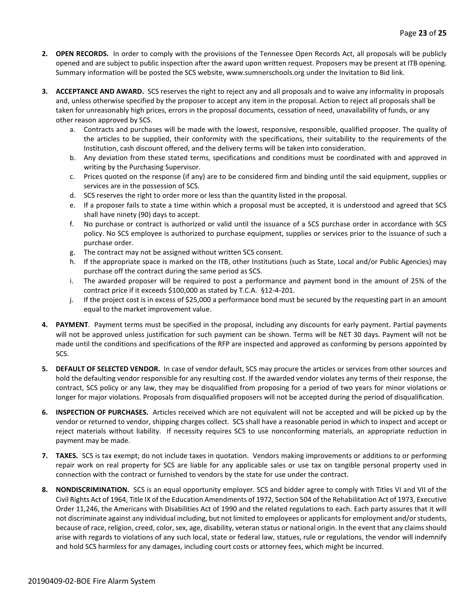- **2. OPEN RECORDS.** In order to comply with the provisions of the Tennessee Open Records Act, all proposals will be publicly opened and are subject to public inspection after the award upon written request. Proposers may be present at ITB opening. Summary information will be posted the SCS website, www.sumnerschools.org under the Invitation to Bid link.
- **3. ACCEPTANCE AND AWARD.** SCS reserves the right to reject any and all proposals and to waive any informality in proposals and, unless otherwise specified by the proposer to accept any item in the proposal. Action to reject all proposals shall be taken for unreasonably high prices, errors in the proposal documents, cessation of need, unavailability of funds, or any other reason approved by SCS.
	- a. Contracts and purchases will be made with the lowest, responsive, responsible, qualified proposer. The quality of the articles to be supplied, their conformity with the specifications, their suitability to the requirements of the Institution, cash discount offered, and the delivery terms will be taken into consideration.
	- b. Any deviation from these stated terms, specifications and conditions must be coordinated with and approved in writing by the Purchasing Supervisor.
	- c. Prices quoted on the response (if any) are to be considered firm and binding until the said equipment, supplies or services are in the possession of SCS.
	- d. SCS reserves the right to order more or less than the quantity listed in the proposal.
	- e. If a proposer fails to state a time within which a proposal must be accepted, it is understood and agreed that SCS shall have ninety (90) days to accept.
	- f. No purchase or contract is authorized or valid until the issuance of a SCS purchase order in accordance with SCS policy. No SCS employee is authorized to purchase equipment, supplies or services prior to the issuance of such a purchase order.
	- g. The contract may not be assigned without written SCS consent.
	- h. If the appropriate space is marked on the ITB, other Institutions (such as State, Local and/or Public Agencies) may purchase off the contract during the same period as SCS.
	- i. The awarded proposer will be required to post a performance and payment bond in the amount of 25% of the contract price if it exceeds \$100,000 as stated by T.C.A. §12-4-201.
	- j. If the project cost is in excess of \$25,000 a performance bond must be secured by the requesting part in an amount equal to the market improvement value.
- **4. PAYMENT**. Payment terms must be specified in the proposal, including any discounts for early payment. Partial payments will not be approved unless justification for such payment can be shown. Terms will be NET 30 days. Payment will not be made until the conditions and specifications of the RFP are inspected and approved as conforming by persons appointed by SCS.
- **5. DEFAULT OF SELECTED VENDOR.** In case of vendor default, SCS may procure the articles or services from other sources and hold the defaulting vendor responsible for any resulting cost. If the awarded vendor violates any terms of their response, the contract, SCS policy or any law, they may be disqualified from proposing for a period of two years for minor violations or longer for major violations. Proposals from disqualified proposers will not be accepted during the period of disqualification.
- **6. INSPECTION OF PURCHASES.** Articles received which are not equivalent will not be accepted and will be picked up by the vendor or returned to vendor, shipping charges collect. SCS shall have a reasonable period in which to inspect and accept or reject materials without liability. If necessity requires SCS to use nonconforming materials, an appropriate reduction in payment may be made.
- **7. TAXES.** SCS is tax exempt; do not include taxes in quotation. Vendors making improvements or additions to or performing repair work on real property for SCS are liable for any applicable sales or use tax on tangible personal property used in connection with the contract or furnished to vendors by the state for use under the contract.
- **8. NONDISCRIMINATION.** SCS is an equal opportunity employer. SCS and bidder agree to comply with Titles VI and VII of the Civil Rights Act of 1964, Title IX of the Education Amendments of 1972, Section 504 of the Rehabilitation Act of 1973, Executive Order 11,246, the Americans with Disabilities Act of 1990 and the related regulations to each. Each party assures that it will not discriminate against any individual including, but not limited to employees or applicants for employment and/or students, because of race, religion, creed, color, sex, age, disability, veteran status or national origin. In the event that any claims should arise with regards to violations of any such local, state or federal law, statues, rule or regulations, the vendor will indemnify and hold SCS harmless for any damages, including court costs or attorney fees, which might be incurred.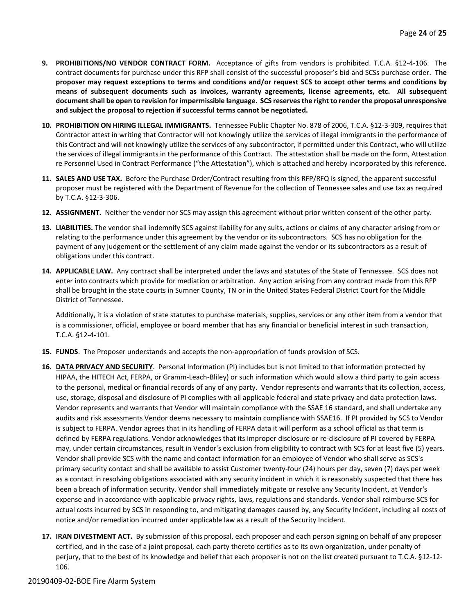- **9. PROHIBITIONS/NO VENDOR CONTRACT FORM.** Acceptance of gifts from vendors is prohibited. T.C.A. §12-4-106. The contract documents for purchase under this RFP shall consist of the successful proposer's bid and SCSs purchase order. **The proposer may request exceptions to terms and conditions and/or request SCS to accept other terms and conditions by means of subsequent documents such as invoices, warranty agreements, license agreements, etc. All subsequent document shall be open to revision for impermissible language. SCS reserves the right to render the proposal unresponsive and subject the proposal to rejection if successful terms cannot be negotiated.**
- **10. PROHIBITION ON HIRING ILLEGAL IMMIGRANTS.** Tennessee Public Chapter No. 878 of 2006, T.C.A. §12-3-309, requires that Contractor attest in writing that Contractor will not knowingly utilize the services of illegal immigrants in the performance of this Contract and will not knowingly utilize the services of any subcontractor, if permitted under this Contract, who will utilize the services of illegal immigrants in the performance of this Contract. The attestation shall be made on the form, Attestation re Personnel Used in Contract Performance ("the Attestation"), which is attached and hereby incorporated by this reference.
- **11. SALES AND USE TAX.** Before the Purchase Order/Contract resulting from this RFP/RFQ is signed, the apparent successful proposer must be registered with the Department of Revenue for the collection of Tennessee sales and use tax as required by T.C.A. §12-3-306.
- **12. ASSIGNMENT.** Neither the vendor nor SCS may assign this agreement without prior written consent of the other party.
- **13. LIABILITIES.** The vendor shall indemnify SCS against liability for any suits, actions or claims of any character arising from or relating to the performance under this agreement by the vendor or its subcontractors. SCS has no obligation for the payment of any judgement or the settlement of any claim made against the vendor or its subcontractors as a result of obligations under this contract.
- **14. APPLICABLE LAW.** Any contract shall be interpreted under the laws and statutes of the State of Tennessee. SCS does not enter into contracts which provide for mediation or arbitration. Any action arising from any contract made from this RFP shall be brought in the state courts in Sumner County, TN or in the United States Federal District Court for the Middle District of Tennessee.

Additionally, it is a violation of state statutes to purchase materials, supplies, services or any other item from a vendor that is a commissioner, official, employee or board member that has any financial or beneficial interest in such transaction, T.C.A. §12-4-101.

- **15. FUNDS**. The Proposer understands and accepts the non-appropriation of funds provision of SCS.
- **16. DATA PRIVACY AND SECURITY**. Personal Information (PI) includes but is not limited to that information protected by HIPAA, the HITECH Act, FERPA, or Gramm-Leach-Bliley) or such information which would allow a third party to gain access to the personal, medical or financial records of any of any party. Vendor represents and warrants that its collection, access, use, storage, disposal and disclosure of PI complies with all applicable federal and state privacy and data protection laws. Vendor represents and warrants that Vendor will maintain compliance with the SSAE 16 standard, and shall undertake any audits and risk assessments Vendor deems necessary to maintain compliance with SSAE16. If PI provided by SCS to Vendor is subject to FERPA. Vendor agrees that in its handling of FERPA data it will perform as a school official as that term is defined by FERPA regulations. Vendor acknowledges that its improper disclosure or re-disclosure of PI covered by FERPA may, under certain circumstances, result in Vendor's exclusion from eligibility to contract with SCS for at least five (5) years. Vendor shall provide SCS with the name and contact information for an employee of Vendor who shall serve as SCS's primary security contact and shall be available to assist Customer twenty-four (24) hours per day, seven (7) days per week as a contact in resolving obligations associated with any security incident in which it is reasonably suspected that there has been a breach of information security. Vendor shall immediately mitigate or resolve any Security Incident, at Vendor's expense and in accordance with applicable privacy rights, laws, regulations and standards. Vendor shall reimburse SCS for actual costs incurred by SCS in responding to, and mitigating damages caused by, any Security Incident, including all costs of notice and/or remediation incurred under applicable law as a result of the Security Incident.
- **17. IRAN DIVESTMENT ACT.** By submission of this proposal, each proposer and each person signing on behalf of any proposer certified, and in the case of a joint proposal, each party thereto certifies as to its own organization, under penalty of perjury, that to the best of its knowledge and belief that each proposer is not on the list created pursuant to T.C.A. §12-12- 106.